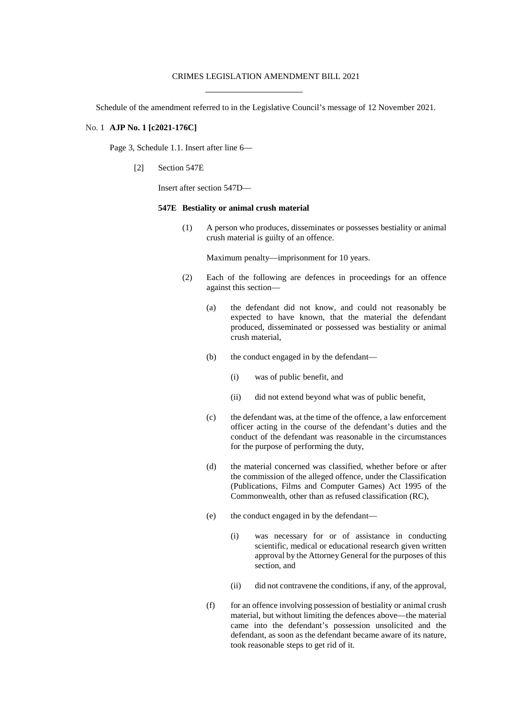#### CRIMES LEGISLATION AMENDMENT BILL 2021

Schedule of the amendment referred to in the Legislative Council's message of 12 November 2021.

## No. 1 **AJP No. 1 [c2021-176C]**

Page 3, Schedule 1.1. Insert after line 6—

[2] Section 547E

Insert after section 547D—

#### **547E Bestiality or animal crush material**

(1) A person who produces, disseminates or possesses bestiality or animal crush material is guilty of an offence.

Maximum penalty—imprisonment for 10 years.

- (2) Each of the following are defences in proceedings for an offence against this section—
	- (a) the defendant did not know, and could not reasonably be expected to have known, that the material the defendant produced, disseminated or possessed was bestiality or animal crush material,
	- (b) the conduct engaged in by the defendant—
		- (i) was of public benefit, and
		- (ii) did not extend beyond what was of public benefit,
	- (c) the defendant was, at the time of the offence, a law enforcement officer acting in the course of the defendant's duties and the conduct of the defendant was reasonable in the circumstances for the purpose of performing the duty,
	- (d) the material concerned was classified, whether before or after the commission of the alleged offence, under the Classification (Publications, Films and Computer Games) Act 1995 of the Commonwealth, other than as refused classification (RC),
	- (e) the conduct engaged in by the defendant—
		- (i) was necessary for or of assistance in conducting scientific, medical or educational research given written approval by the Attorney General for the purposes of this section, and
		- (ii) did not contravene the conditions, if any, of the approval,
	- (f) for an offence involving possession of bestiality or animal crush material, but without limiting the defences above—the material came into the defendant's possession unsolicited and the defendant, as soon as the defendant became aware of its nature, took reasonable steps to get rid of it.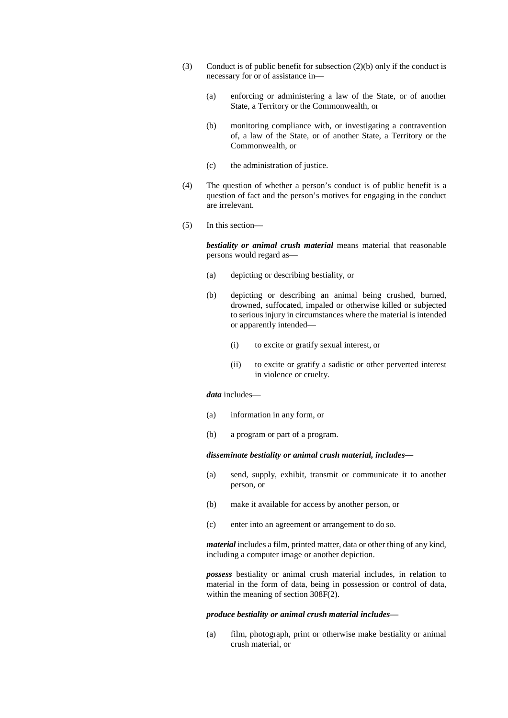- (3) Conduct is of public benefit for subsection (2)(b) only if the conduct is necessary for or of assistance in—
	- (a) enforcing or administering a law of the State, or of another State, a Territory or the Commonwealth, or
	- (b) monitoring compliance with, or investigating a contravention of, a law of the State, or of another State, a Territory or the Commonwealth, or
	- (c) the administration of justice.
- (4) The question of whether a person's conduct is of public benefit is a question of fact and the person's motives for engaging in the conduct are irrelevant.
- (5) In this section—

*bestiality or animal crush material* means material that reasonable persons would regard as—

- (a) depicting or describing bestiality, or
- (b) depicting or describing an animal being crushed, burned, drowned, suffocated, impaled or otherwise killed or subjected to serious injury in circumstances where the material is intended or apparently intended—
	- (i) to excite or gratify sexual interest, or
	- (ii) to excite or gratify a sadistic or other perverted interest in violence or cruelty.

### *data* includes—

- (a) information in any form, or
- (b) a program or part of a program.

# *disseminate bestiality or animal crush material, includes—*

- (a) send, supply, exhibit, transmit or communicate it to another person, or
- (b) make it available for access by another person, or
- (c) enter into an agreement or arrangement to do so.

*material* includes a film, printed matter, data or other thing of any kind, including a computer image or another depiction.

*possess* bestiality or animal crush material includes, in relation to material in the form of data, being in possession or control of data, within the meaning of section 308F(2).

## *produce bestiality or animal crush material includes—*

(a) film, photograph, print or otherwise make bestiality or animal crush material, or